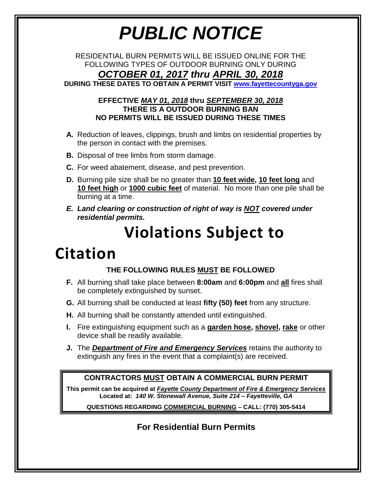# *PUBLIC NOTICE*

RESIDENTIAL BURN PERMITS WILL BE ISSUED ONLINE FOR THE FOLLOWING TYPES OF OUTDOOR BURNING ONLY DURING *OCTOBER 01, 2017 thru APRIL 30, 2018*

**DURING THESE DATES TO OBTAIN A PERMIT VISIT [www.fayettecountyga.gov](http://www.fayettecountyga.gov/)** 

#### **EFFECTIVE** *MAY 01, 2018* **thru** *SEPTEMBER 30, 2018* **THERE IS A OUTDOOR BURNING BAN NO PERMITS WILL BE ISSUED DURING THESE TIMES**

- **A.** Reduction of leaves, clippings, brush and limbs on residential properties by the person in contact with the premises.
- **B.** Disposal of tree limbs from storm damage.
- **C.** For weed abatement, disease, and pest prevention.
- **D.** Burning pile size shall be no greater than **10 feet wide, 10 feet long** and **10 feet high** or **1000 cubic feet** of material. No more than one pile shall be burning at a time.
- *E. Land clearing or construction of right of way is NOT covered under residential permits.*

## **Violations Subject to**

## **Citation**

### **THE FOLLOWING RULES MUST BE FOLLOWED**

- **F.** All burning shall take place between **8:00am** and **6:00pm** and **all** fires shall be completely extinguished by sunset.
- **G.** All burning shall be conducted at least **fifty (50) feet** from any structure.
- **H.** All burning shall be constantly attended until extinguished.
- **I.** Fire extinguishing equipment such as a **garden hose, shovel, rake** or other device shall be readily available.
- **J.** The *Department of Fire and Emergency Services* retains the authority to extinguish any fires in the event that a complaint(s) are received.

#### **CONTRACTORS MUST OBTAIN A COMMERCIAL BURN PERMIT**

**This permit can be acquired at** *Fayette County Department of Fire & Emergency Services* **Located at:** *140 W. Stonewall Avenue, Suite 214 – Fayetteville, GA*

**QUESTIONS REGARDING COMMERCIAL BURNING – CALL: (770) 305-5414**

**For Residential Burn Permits**